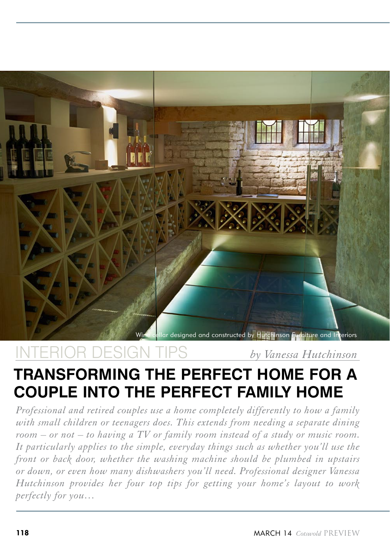

INTERIOR DESIGN TIPS *by Vanessa Hutchinson*

# **transforming the perfect home for a couple into the perfect family home**

*Professional and retired couples use a home completely differently to how a family with small children or teenagers does. This extends from needing a separate dining room – or not – to having a TV or family room instead of a study or music room. It particularly applies to the simple, everyday things such as whether you'll use the front or back door, whether the washing machine should be plumbed in upstairs or down, or even how many dishwashers you'll need. Professional designer Vanessa Hutchinson provides her four top tips for getting your home's layout to work perfectly for you…*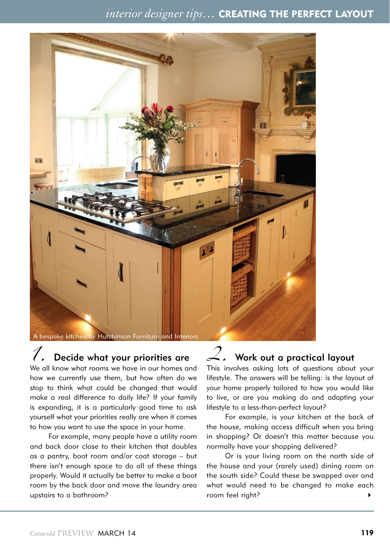### *interior designer tips…* CREATING THE PERFECT LAYOUT



### Decide what your priorities are

We all know what rooms we have in our homes and how we currently use them, but how often do we stop to think what could be changed that would make a real difference to daily life? If your family is expanding, it is a particularly good time to ask yourself what your priorities really are when it comes to how you want to use the space in your home.

For example, many people have a utility room and back door close to their kitchen that doubles as a pantry, boot room and/or coat storage – but there isn't enough space to do all of these things properly. Would it actually be better to make a boot room by the back door and move the laundry area upstairs to a bathroom?

# *2.* Work out a practical layout

This involves asking lots of questions about your lifestyle. The answers will be telling: is the layout of your home properly tailored to how you would like to live, or are you making do and adapting your lifestyle to a less-than-perfect layout?

For example, is your kitchen at the back of the house, making access difficult when you bring in shopping? Or doesn't this matter because you normally have your shopping delivered?

Or is your living room on the north side of the house and your (rarely used) dining room on the south side? Could these be swapped over and what would need to be changed to make each room feel right? 4